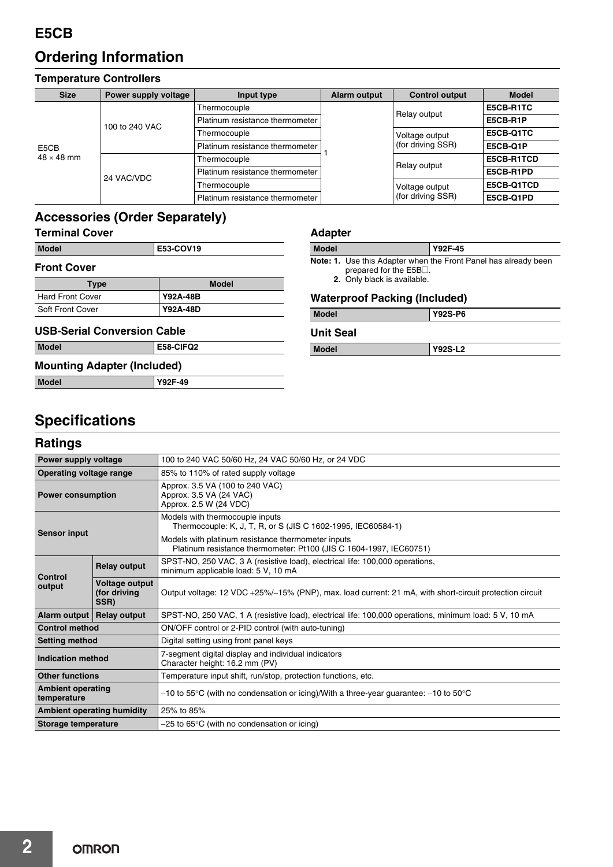# **Ordering Information**

#### **Temperature Controllers**

| <b>Size</b>               | Power supply voltage | Input type                      | <b>Alarm output</b> | <b>Control output</b>               | <b>Model</b>    |
|---------------------------|----------------------|---------------------------------|---------------------|-------------------------------------|-----------------|
| E5CB<br>$48 \times 48$ mm | 100 to 240 VAC       | Thermocouple                    |                     | Relay output                        | E5CB-R1TC       |
|                           |                      | Platinum resistance thermometer |                     |                                     | E5CB-R1P        |
|                           |                      | Thermocouple                    |                     | Voltage output<br>(for driving SSR) | E5CB-Q1TC       |
|                           |                      | Platinum resistance thermometer |                     |                                     | <b>E5CB-Q1P</b> |
|                           | 24 VAC/VDC           | Thermocouple                    |                     | Relay output                        | E5CB-R1TCD      |
|                           |                      | Platinum resistance thermometer |                     |                                     | E5CB-R1PD       |
|                           |                      | Thermocouple                    |                     | Voltage output<br>(for driving SSR) | E5CB-Q1TCD      |
|                           |                      | Platinum resistance thermometer |                     |                                     | E5CB-Q1PD       |

# **Accessories (Order Separately)**

| Model | E53-COV19 |
|-------|-----------|
|       |           |

#### **Front Cover**

| Type                    | <b>Model</b>    |
|-------------------------|-----------------|
| <b>Hard Front Cover</b> | Y92A-48B        |
| Soft Front Cover        | <b>Y92A-48D</b> |

#### **USB-Serial Conversion Cable**

| <b>Model</b> | E58-CIFQ2 |
|--------------|-----------|
|              |           |

## **Mounting Adapter (Included)**

| Model | $-49$<br>V92F- |
|-------|----------------|
|       |                |

## **Adapter**

| <b>Model</b> | Y92F-45                                                                |
|--------------|------------------------------------------------------------------------|
|              | <b>Note: 1.</b> Use this Adapter when the Front Panel has already been |

prepared for the  $E5B\square$ . **2.** Only black is available.

#### **Waterproof Packing (Included)**

| <b>Model</b>     | <b>Y92S-P6</b> |
|------------------|----------------|
| <b>Unit Seal</b> |                |
| <b>Model</b>     | Y92S-L2        |

# **Specifications**

### **Ratings**

| Power supply voltage                    |                                        | 100 to 240 VAC 50/60 Hz, 24 VAC 50/60 Hz, or 24 VDC                                                                      |  |  |  |
|-----------------------------------------|----------------------------------------|--------------------------------------------------------------------------------------------------------------------------|--|--|--|
| Operating voltage range                 |                                        | 85% to 110% of rated supply voltage                                                                                      |  |  |  |
| <b>Power consumption</b>                |                                        | Approx. 3.5 VA (100 to 240 VAC)<br>Approx. 3.5 VA (24 VAC)<br>Approx. 2.5 W (24 VDC)                                     |  |  |  |
| <b>Sensor input</b>                     |                                        | Models with thermocouple inputs<br>Thermocouple: K, J, T, R, or S (JIS C 1602-1995, IEC60584-1)                          |  |  |  |
|                                         |                                        | Models with platinum resistance thermometer inputs<br>Platinum resistance thermometer: Pt100 (JIS C 1604-1997, IEC60751) |  |  |  |
|                                         | <b>Relay output</b>                    | SPST-NO, 250 VAC, 3 A (resistive load), electrical life: 100,000 operations,<br>minimum applicable load: 5 V, 10 mA      |  |  |  |
| Control<br>output                       | Voltage output<br>(for driving<br>SSR) | Output voltage: 12 VDC +25%/-15% (PNP), max. load current: 21 mA, with short-circuit protection circuit                  |  |  |  |
| Alarm output                            | <b>Relay output</b>                    | SPST-NO, 250 VAC, 1 A (resistive load), electrical life: 100,000 operations, minimum load: 5 V, 10 mA                    |  |  |  |
| <b>Control method</b>                   |                                        | ON/OFF control or 2-PID control (with auto-tuning)                                                                       |  |  |  |
| <b>Setting method</b>                   |                                        | Digital setting using front panel keys                                                                                   |  |  |  |
| Indication method                       |                                        | 7-segment digital display and individual indicators<br>Character height: 16.2 mm (PV)                                    |  |  |  |
| <b>Other functions</b>                  |                                        | Temperature input shift, run/stop, protection functions, etc.                                                            |  |  |  |
| <b>Ambient operating</b><br>temperature |                                        | -10 to 55°C (with no condensation or icing)/With a three-year guarantee: -10 to 50°C                                     |  |  |  |
| <b>Ambient operating humidity</b>       |                                        | 25% to 85%                                                                                                               |  |  |  |
| <b>Storage temperature</b>              |                                        | $-25$ to 65°C (with no condensation or icing)                                                                            |  |  |  |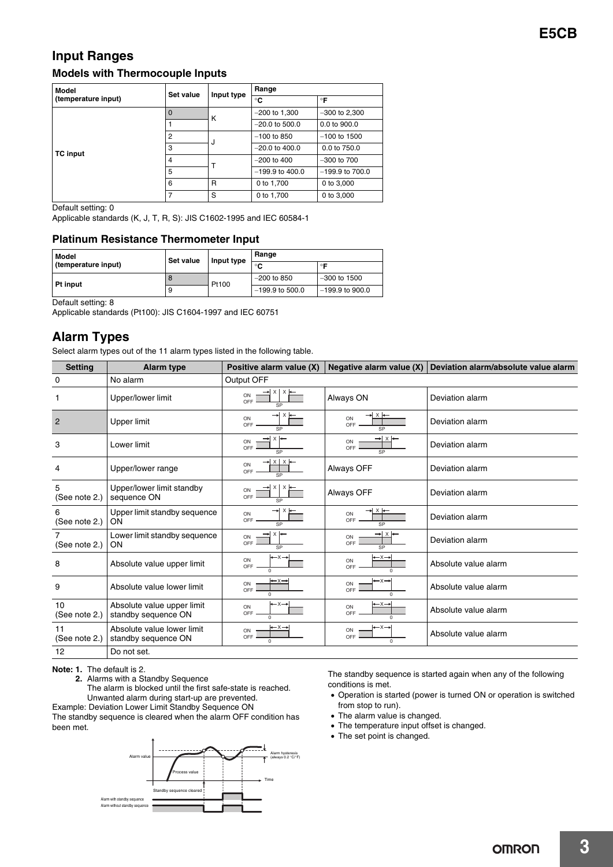## **Input Ranges Models with Thermocouple Inputs**

| <b>Model</b>        | Set value      | Input type | Range             |                   |
|---------------------|----------------|------------|-------------------|-------------------|
| (temperature input) |                |            | °C                | $\circ$ F         |
|                     | $\overline{0}$ | к          | $-200$ to 1,300   | $-300$ to 2,300   |
|                     |                |            | $-20.0$ to 500.0  | 0.0 to 900.0      |
|                     | $\overline{2}$ | J          | $-100$ to 850     | $-100$ to 1500    |
| <b>TC</b> input     | 3              |            | $-20.0$ to 400.0  | $0.0$ to $750.0$  |
|                     | $\overline{4}$ | Т          | $-200$ to 400     | $-300$ to $700$   |
|                     | 5              |            | $-199.9$ to 400.0 | $-199.9$ to 700.0 |
|                     | 6              | R          | 0 to 1,700        | 0 to 3,000        |
|                     | 7              | S          | 0 to 1,700        | 0 to 3,000        |

Default setting: 0

Applicable standards (K, J, T, R, S): JIS C1602-1995 and IEC 60584-1

#### **Platinum Resistance Thermometer Input**

| Model               | Set value<br>Input type |       | Range             |                   |
|---------------------|-------------------------|-------|-------------------|-------------------|
| (temperature input) |                         |       | $\circ$           | $\circ$           |
| <b>Pt input</b>     | $\Omega$                | Pt100 | $-200$ to 850     | $-300$ to 1500    |
|                     | 9                       |       | $-199.9$ to 500.0 | $-199.9$ to 900.0 |

Default setting: 8

Applicable standards (Pt100): JIS C1604-1997 and IEC 60751

## **Alarm Types**

Select alarm types out of the 11 alarm types listed in the following table.

| <b>Setting</b>      | <b>Alarm type</b>                                 | Positive alarm value (X)                             | Negative alarm value (X)                                  | Deviation alarm/absolute value alarm |
|---------------------|---------------------------------------------------|------------------------------------------------------|-----------------------------------------------------------|--------------------------------------|
| 0                   | No alarm                                          | Output OFF                                           |                                                           |                                      |
| 1                   | Upper/lower limit                                 | X<br>ON<br>OFF<br>SP                                 | Always ON                                                 | Deviation alarm                      |
| $\overline{2}$      | Upper limit                                       | → x<br>ON<br>OFF<br>SP                               | ON<br>OFF                                                 | Deviation alarm                      |
| 3                   | Lower limit                                       | ON<br>OFF<br>SP                                      | ON<br>OFF                                                 | Deviation alarm                      |
| 4                   | Upper/lower range                                 | ON<br>OFF<br>SP                                      | Always OFF                                                | Deviation alarm                      |
| 5<br>(See note 2.)  | Upper/lower limit standby<br>sequence ON          | ON<br>OFF<br>SP                                      | Always OFF                                                | Deviation alarm                      |
| 6<br>(See note 2.)  | Upper limit standby sequence<br>ON                | → x ←<br>ON<br>OFF<br>SP                             | ON<br>OFF<br>SP                                           | Deviation alarm                      |
| 7<br>(See note 2.)  | Lower limit standby sequence<br>ON                | ON<br>OFF<br>SP                                      | ON<br>OFF<br>SP                                           | Deviation alarm                      |
| 8                   | Absolute value upper limit                        | $\rightarrow$<br>ON<br>OFF<br>$\Omega$               | $\mathop{-x}\rightarrow$<br>ON<br>OFF<br>$\Omega$         | Absolute value alarm                 |
| 9                   | Absolute value lower limit                        | $\rightarrow x \rightarrow$<br>ON<br>OFF<br>$\Omega$ | $\rightarrow \times \rightarrow$<br>ON<br>OFF<br>$\Omega$ | Absolute value alarm                 |
| 10<br>(See note 2.) | Absolute value upper limit<br>standby sequence ON | $\rightarrow x \rightarrow$<br>ON<br>OFF<br>$\Omega$ | ←x→<br>ON<br>OFF<br>$\Omega$                              | Absolute value alarm                 |
| 11<br>(See note 2.) | Absolute value lower limit<br>standby sequence ON | ←×→<br>ON<br>OFF                                     | $\rightarrow$ $\times$<br>ON<br>OFF<br>$\Omega$           | Absolute value alarm                 |
| 12                  | Do not set.                                       |                                                      |                                                           |                                      |

**Note: 1.** The default is 2.

**2.** Alarms with a Standby Sequence

The alarm is blocked until the first safe-state is reached. Unwanted alarm during start-up are prevented.

Example: Deviation Lower Limit Standby Sequence ON

The standby sequence is cleared when the alarm OFF condition has been met.



The standby sequence is started again when any of the following conditions is met.

- Operation is started (power is turned ON or operation is switched from stop to run).
- The alarm value is changed.
- The temperature input offset is changed.
- The set point is changed.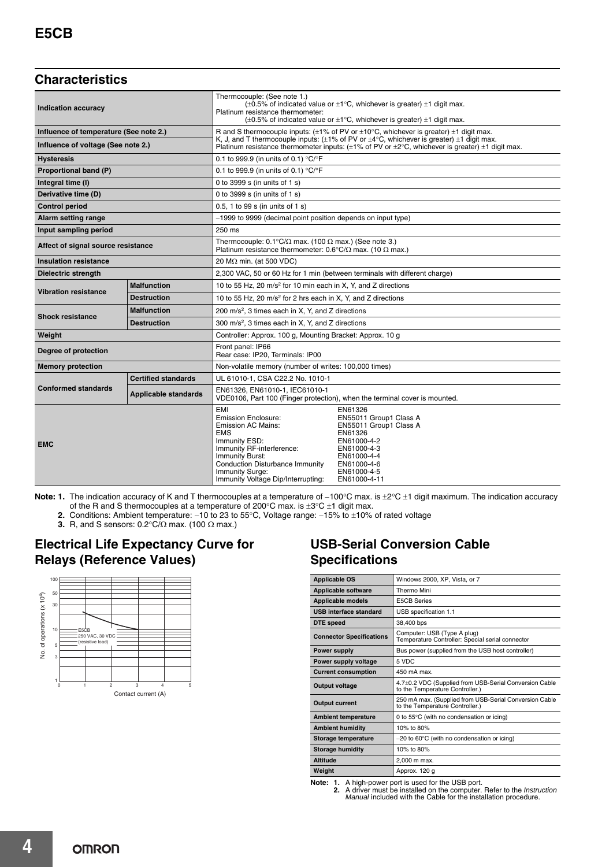## **Characteristics**

| Indication accuracy                    |                             | Thermocouple: (See note 1.)<br>$(\pm 0.5\%$ of indicated value or $\pm 1^{\circ}$ C, whichever is greater) $\pm 1$ digit max.<br>Platinum resistance thermometer:<br>$(\pm 0.5\%$ of indicated value or $\pm 1^{\circ}$ C, whichever is greater) $\pm 1$ digit max. |                                                                                                                                                                   |
|----------------------------------------|-----------------------------|---------------------------------------------------------------------------------------------------------------------------------------------------------------------------------------------------------------------------------------------------------------------|-------------------------------------------------------------------------------------------------------------------------------------------------------------------|
| Influence of temperature (See note 2.) |                             | R and S thermocouple inputs: $(\pm 1\%$ of PV or $\pm 10^{\circ}$ C, whichever is greater) $\pm 1$ digit max.<br>K, J, and T thermocouple inputs: $(\pm 1\%$ of PV or $\pm 4^{\circ}$ C, whichever is greater) $\pm 1$ digit max.                                   |                                                                                                                                                                   |
| Influence of voltage (See note 2.)     |                             |                                                                                                                                                                                                                                                                     | Platinum resistance thermometer inputs: $(\pm 1\%$ of PV or $\pm 2^{\circ}$ C, whichever is greater) $\pm 1$ digit max.                                           |
| <b>Hysteresis</b>                      |                             | 0.1 to 999.9 (in units of 0.1) °C/°F                                                                                                                                                                                                                                |                                                                                                                                                                   |
| Proportional band (P)                  |                             | 0.1 to 999.9 (in units of 0.1) $^{\circ}$ C/ $^{\circ}$ F                                                                                                                                                                                                           |                                                                                                                                                                   |
| Integral time (I)                      |                             | 0 to 3999 s (in units of 1 s)                                                                                                                                                                                                                                       |                                                                                                                                                                   |
| Derivative time (D)                    |                             | 0 to 3999 s (in units of 1 s)                                                                                                                                                                                                                                       |                                                                                                                                                                   |
| <b>Control period</b>                  |                             | 0.5, 1 to 99 s (in units of 1 s)                                                                                                                                                                                                                                    |                                                                                                                                                                   |
| <b>Alarm setting range</b>             |                             | -1999 to 9999 (decimal point position depends on input type)                                                                                                                                                                                                        |                                                                                                                                                                   |
| Input sampling period                  |                             | 250 ms                                                                                                                                                                                                                                                              |                                                                                                                                                                   |
| Affect of signal source resistance     |                             | Thermocouple: $0.1^{\circ}C/\Omega$ max. (100 $\Omega$ max.) (See note 3.)<br>Platinum resistance thermometer: $0.6^{\circ}C/\Omega$ max. (10 $\Omega$ max.)                                                                                                        |                                                                                                                                                                   |
| <b>Insulation resistance</b>           |                             | 20 M $\Omega$ min. (at 500 VDC)                                                                                                                                                                                                                                     |                                                                                                                                                                   |
| <b>Dielectric strength</b>             |                             | 2.300 VAC, 50 or 60 Hz for 1 min (between terminals with different charge)                                                                                                                                                                                          |                                                                                                                                                                   |
| <b>Vibration resistance</b>            | <b>Malfunction</b>          | 10 to 55 Hz, 20 m/s <sup>2</sup> for 10 min each in X, Y, and Z directions                                                                                                                                                                                          |                                                                                                                                                                   |
|                                        | <b>Destruction</b>          | 10 to 55 Hz, 20 m/s <sup>2</sup> for 2 hrs each in X, Y, and Z directions                                                                                                                                                                                           |                                                                                                                                                                   |
| <b>Shock resistance</b>                | <b>Malfunction</b>          | 200 m/s <sup>2</sup> , 3 times each in X, Y, and Z directions                                                                                                                                                                                                       |                                                                                                                                                                   |
|                                        | <b>Destruction</b>          | 300 m/s <sup>2</sup> , 3 times each in X, Y, and Z directions                                                                                                                                                                                                       |                                                                                                                                                                   |
| Weight                                 |                             | Controller: Approx. 100 g, Mounting Bracket: Approx. 10 g                                                                                                                                                                                                           |                                                                                                                                                                   |
| Degree of protection                   |                             | Front panel: IP66<br>Rear case: IP20, Terminals: IP00                                                                                                                                                                                                               |                                                                                                                                                                   |
| <b>Memory protection</b>               |                             | Non-volatile memory (number of writes: 100,000 times)                                                                                                                                                                                                               |                                                                                                                                                                   |
| <b>Conformed standards</b>             | <b>Certified standards</b>  | UL 61010-1, CSA C22.2 No. 1010-1                                                                                                                                                                                                                                    |                                                                                                                                                                   |
|                                        | <b>Applicable standards</b> | EN61326, EN61010-1, IEC61010-1<br>VDE0106, Part 100 (Finger protection), when the terminal cover is mounted.                                                                                                                                                        |                                                                                                                                                                   |
| <b>EMC</b>                             |                             | EMI<br><b>Emission Enclosure:</b><br><b>Emission AC Mains:</b><br><b>EMS</b><br>Immunity ESD:<br>Immunity RF-interference:<br><b>Immunity Burst:</b><br><b>Conduction Disturbance Immunity</b><br>Immunity Surge:<br>Immunity Voltage Dip/Interrupting:             | EN61326<br>EN55011 Group1 Class A<br>EN55011 Group1 Class A<br>EN61326<br>EN61000-4-2<br>EN61000-4-3<br>EN61000-4-4<br>EN61000-4-6<br>EN61000-4-5<br>EN61000-4-11 |

Note: 1. The indication accuracy of K and T thermocouples at a temperature of -100°C max. is  $\pm 2^{\circ}C \pm 1$  digit maximum. The indication accuracy of the R and S thermocouples at a temperature of 200°C max. is  $\pm 3$ °C  $\pm 1$  digit max.

- **2.** Conditions: Ambient temperature: –10 to 23 to 55°C, Voltage range: –15% to ±10% of rated voltage
- **3.** R, and S sensors: 0.2°C/ $\Omega$  max. (100  $\Omega$  max.)

## **Electrical Life Expectancy Curve for Relays (Reference Values)**



## **USB-Serial Conversion Cable Specifications**

| <b>Applicable OS</b>            | Windows 2000, XP, Vista, or 7                                                             |  |
|---------------------------------|-------------------------------------------------------------------------------------------|--|
| <b>Applicable software</b>      | Thermo Mini                                                                               |  |
| <b>Applicable models</b>        | <b>E5CB Series</b>                                                                        |  |
| <b>USB</b> interface standard   | USB specification 1.1                                                                     |  |
| DTE speed                       | 38,400 bps                                                                                |  |
| <b>Connector Specifications</b> | Computer: USB (Type A plug)<br>Temperature Controller: Special serial connector           |  |
| Power supply                    | Bus power (supplied from the USB host controller)                                         |  |
| Power supply voltage            | 5 VDC                                                                                     |  |
| <b>Current consumption</b>      | 450 mA max.                                                                               |  |
| Output voltage                  | 4.7±0.2 VDC (Supplied from USB-Serial Conversion Cable<br>to the Temperature Controller.) |  |
| <b>Output current</b>           | 250 mA max. (Supplied from USB-Serial Conversion Cable<br>to the Temperature Controller.) |  |
| <b>Ambient temperature</b>      | 0 to 55°C (with no condensation or icing)                                                 |  |
| <b>Ambient humidity</b>         | 10% to 80%                                                                                |  |
| Storage temperature             | $-20$ to 60 $\degree$ C (with no condensation or icing)                                   |  |
| <b>Storage humidity</b>         | 10% to 80%                                                                                |  |
| Altitude                        | 2.000 m max.                                                                              |  |
| Weight                          | Approx. 120 q                                                                             |  |

**Note: 1.** A high-power port is used for the USB port.<br>**2.** A driver must be installed on the computer. Refer to the *Instruction*<br>*Manual* included with the Cable for the installation procedure.